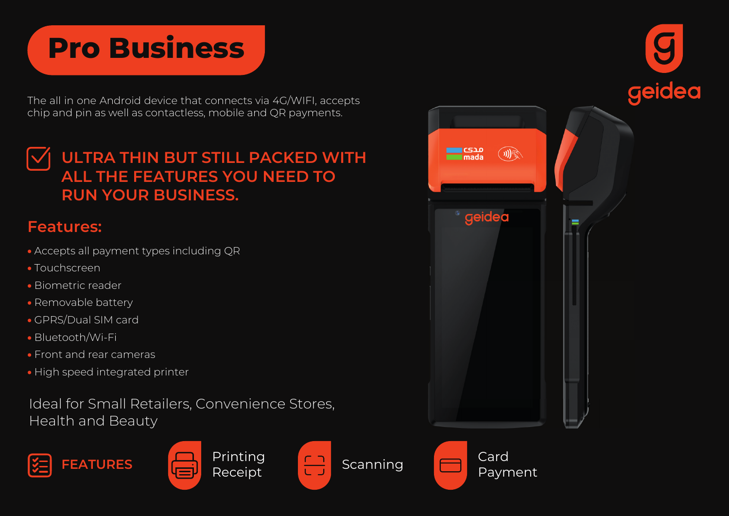# **Pro Business**

The all in one Android device that connects via 4G/WIFI, accepts chip and pin as well as contactless, mobile and QR payments.

## **ULTRA THIN BUT STILL PACKED WITH ALL THE FEATURES YOU NEED TO RUN YOUR BUSINESS.**

### **Features:**

- Accepts all payment types including QR
- Touchscreen
- Biometric reader
- Removable battery
- GPRS/Dual SIM card
- Bluetooth/Wi-Fi
- Front and rear cameras
- High speed integrated printer

Ideal for Small Retailers, Convenience Stores, Health and Beauty